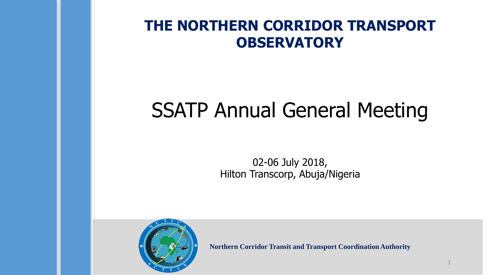### **THE NORTHERN CORRIDOR TRANSPORT OBSERVATORY**

# SSATP Annual General Meeting

02-06 July 2018, Hilton Transcorp, Abuja/Nigeria



**Northern Corridor Transit and Transport Coordination Authority**

1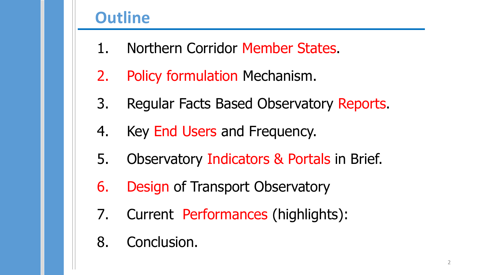# **Outline**

- 1. Northern Corridor Member States.
- 2. Policy formulation Mechanism.
- 3. Regular Facts Based Observatory Reports.
- 4. Key End Users and Frequency.
- 5. Observatory Indicators & Portals in Brief.
- 6. Design of Transport Observatory
- 7. Current Performances (highlights):
- 8. Conclusion.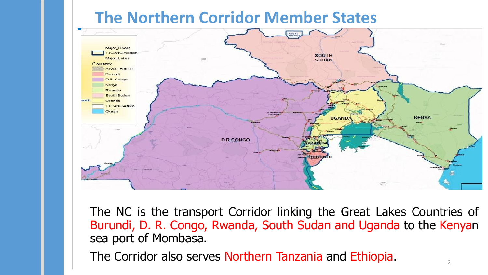# **The Northern Corridor Member States**



The NC is the transport Corridor linking the Great Lakes Countries of Burundi, D. R. Congo, Rwanda, South Sudan and Uganda to the Kenyan sea port of Mombasa.

The Corridor also serves Northern Tanzania and Ethiopia.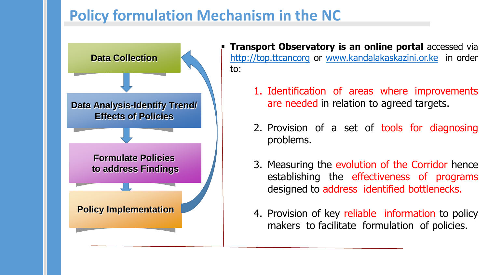# **Policy formulation Mechanism in the NC**



- **Transport Observatory is an online portal accessed via** [http://top.ttcancorg](http://top.ttcancorg/) or [www.kandalakaskazini.or.ke](http://www.kandalakaskazini.or.ke/) in order to:
	- 1. Identification of areas where improvements are needed in relation to agreed targets.
	- 2. Provision of a set of tools for diagnosing problems.
	- 3. Measuring the evolution of the Corridor hence establishing the effectiveness of programs designed to address identified bottlenecks.
	- 4. Provision of key reliable information to policy makers to facilitate formulation of policies.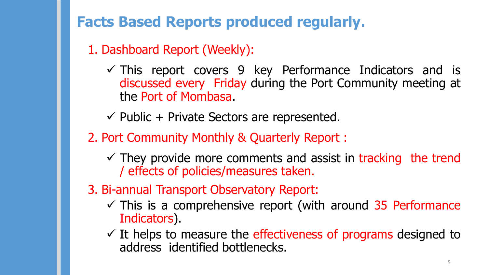**Facts Based Reports produced regularly.**

1. Dashboard Report (Weekly):

 $\checkmark$  This report covers 9 key Performance Indicators and is discussed every Friday during the Port Community meeting at the Port of Mombasa.

 $\checkmark$  Public + Private Sectors are represented.

- 2. Port Community Monthly & Quarterly Report :
	- $\checkmark$  They provide more comments and assist in tracking the trend / effects of policies/measures taken.
- 3. Bi-annual Transport Observatory Report:
	- $\checkmark$  This is a comprehensive report (with around 35 Performance Indicators).
	- $\checkmark$  It helps to measure the effectiveness of programs designed to address identified bottlenecks.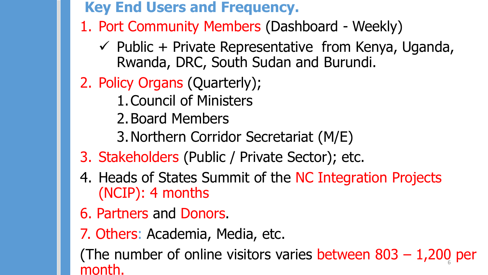**Key End Users and Frequency.**

- 1. Port Community Members (Dashboard Weekly)
	- $\checkmark$  Public + Private Representative from Kenya, Uganda, Rwanda, DRC, South Sudan and Burundi.
- 2. Policy Organs (Quarterly);
	- 1.Council of Ministers
	- 2.Board Members
	- 3.Northern Corridor Secretariat (M/E)
- 3. Stakeholders (Public / Private Sector); etc.
- 4. Heads of States Summit of the NC Integration Projects (NCIP): 4 months
- 6. Partners and Donors.
- 7. Others: Academia, Media, etc.

(The number of online visitors varies between 803 - 1,200 per month.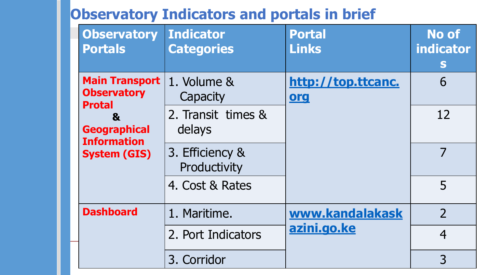# **Observatory Indicators and portals in brief**

| <b>Observatory</b><br><b>Portals</b>                                                                                                             | <b>Indicator</b><br><b>Categories</b> | <b>Portal</b><br><b>Links</b>    | <b>No of</b><br>indicator<br>S |
|--------------------------------------------------------------------------------------------------------------------------------------------------|---------------------------------------|----------------------------------|--------------------------------|
| <b>Main Transport</b><br><b>Observatory</b><br><b>Protal</b><br>$\mathbf{a}$<br><b>Geographical</b><br><b>Information</b><br><b>System (GIS)</b> | 1. Volume &<br>Capacity               | http://top.ttcanc.<br><u>org</u> | 6                              |
|                                                                                                                                                  | 2. Transit times &<br>delays          |                                  | 12                             |
|                                                                                                                                                  | 3. Efficiency &<br>Productivity       |                                  | 7                              |
|                                                                                                                                                  | 4. Cost & Rates                       |                                  | 5                              |
| <b>Dashboard</b>                                                                                                                                 | 1. Maritime.                          | www.kandalakask<br>azini.go.ke   | $\overline{2}$                 |
|                                                                                                                                                  | 2. Port Indicators                    |                                  | $\overline{4}$                 |
|                                                                                                                                                  | 3. Corridor                           |                                  | 3                              |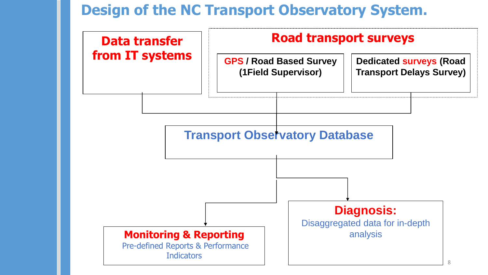### **Design of the NC Transport Observatory System.**

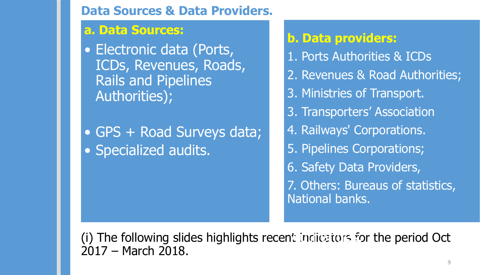#### **Data Sources & Data Providers.**

#### **a. Data Sources:**

• Electronic data (Ports, ICDs, Revenues, Roads, Rails and Pipelines Authorities);

• GPS + Road Surveys data; • Specialized audits.

### **b. Data providers:**

- 1. Ports Authorities & ICDs
- 2. Revenues & Road Authorities;
- 3. Ministries of Transport.
- 3. Transporters' Association
- 4. Railways' Corporations.
- 5. Pipelines Corporations;
- 6. Safety Data Providers,
- 7. Others: Bureaus of statistics, National banks.

(i) The following slides highlights recent indicators for the period Oct 2017 – March 2018.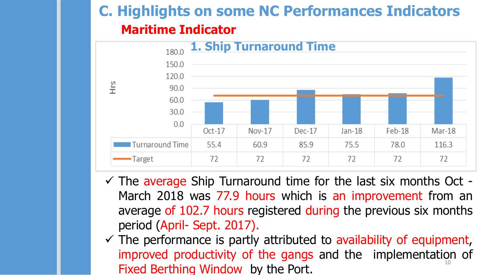# **Maritime Indicator C. Highlights on some NC Performances Indicators**



- $\checkmark$  The average Ship Turnaround time for the last six months Oct -March 2018 was 77.9 hours which is an improvement from an average of 102.7 hours registered during the previous six months period (April- Sept. 2017).
- 10  $\checkmark$  The performance is partly attributed to availability of equipment, improved productivity of the gangs and the implementation of Fixed Berthing Window by the Port.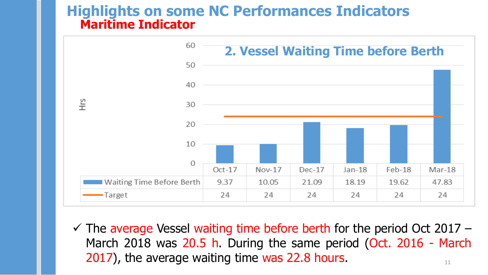#### **Maritime Indicator Highlights on some NC Performances Indicators**



11  $\checkmark$  The average Vessel waiting time before berth for the period Oct 2017 – March 2018 was 20.5 h. During the same period (Oct. 2016 - March 2017), the average waiting time was 22.8 hours.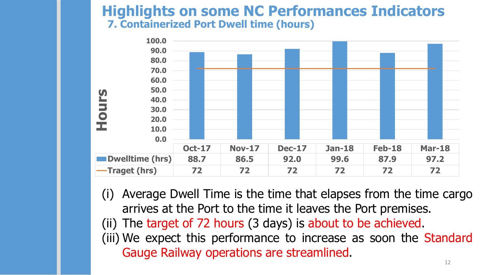#### **7. Containerized Port Dwell time (hours) Highlights on some NC Performances Indicators**



(i) Average Dwell Time is the time that elapses from the time cargo arrives at the Port to the time it leaves the Port premises. (ii) The target of 72 hours (3 days) is about to be achieved. (iii) We expect this performance to increase as soon the Standard

Gauge Railway operations are streamlined.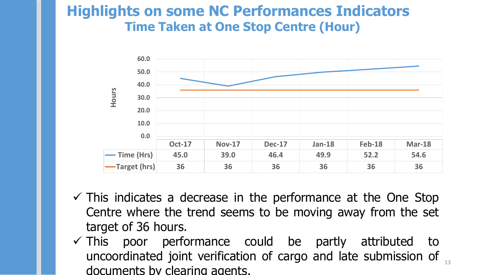### **Time Taken at One Stop Centre (Hour) Highlights on some NC Performances Indicators**



- $\checkmark$  This indicates a decrease in the performance at the One Stop Centre where the trend seems to be moving away from the set target of 36 hours.
- uncoordinated joint verification of cargo and late submission of  $_{13}$  $\checkmark$  This poor performance could be partly attributed to documents by clearing agents.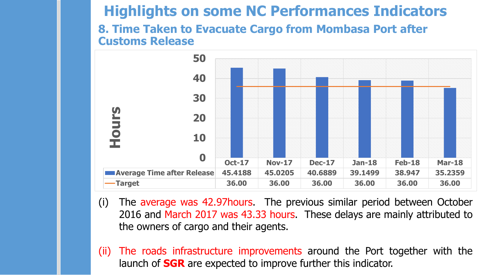### **Highlights on some NC Performances Indicators**

#### **8. Time Taken to Evacuate Cargo from Mombasa Port after Customs Release**



- (i) The average was 42.97hours. The previous similar period between October 2016 and March 2017 was 43.33 hours. These delays are mainly attributed to the owners of cargo and their agents.
- (ii) The roads infrastructure improvements around the Port together with the launch of **SGR** are expected to improve further this indicator.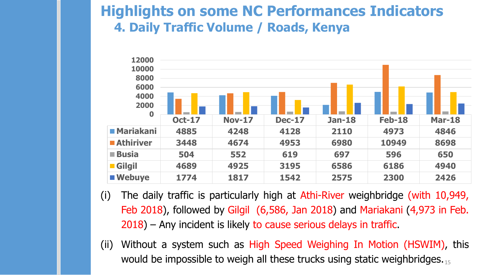### **4. Daily Traffic Volume / Roads, Kenya Highlights on some NC Performances Indicators**



- (i) The daily traffic is particularly high at Athi-River weighbridge (with 10,949, Feb 2018), followed by Gilgil (6,586, Jan 2018) and Mariakani (4,973 in Feb. 2018) – Any incident is likely to cause serious delays in traffic.
- would be impossible to weigh all these trucks using static weighbridges.  $_{15}$ (ii) Without a system such as High Speed Weighing In Motion (HSWIM), this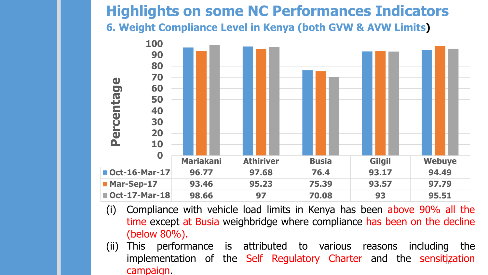### **6. Weight Compliance Level in Kenya (both GVW & AVW Limits) Highlights on some NC Performances Indicators**



- (i) Compliance with vehicle load limits in Kenya has been above 90% all the time except at Busia weighbridge where compliance has been on the decline (below 80%).
- implementation of the Self Regulatory Charter and the sensitization (ii) This performance is attributed to various reasons including the campaign.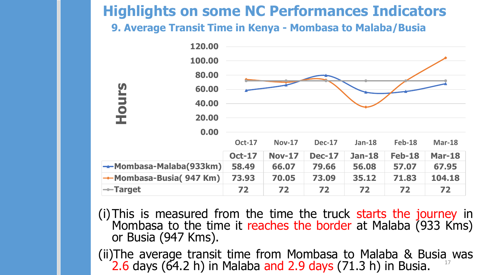# **Highlights on some NC Performances Indicators**

**9. Average Transit Time in Kenya - Mombasa to Malaba/Busia**



(i)This is measured from the time the truck starts the journey in Mombasa to the time it reaches the border at Malaba (933 Kms) or Busia (947 Kms).

17 (ii)The average transit time from Mombasa to Malaba & Busia was  $(2.6$  days  $(64.2 h)$  in Malaba and 2.9 days  $(71.3 h)$  in Busia.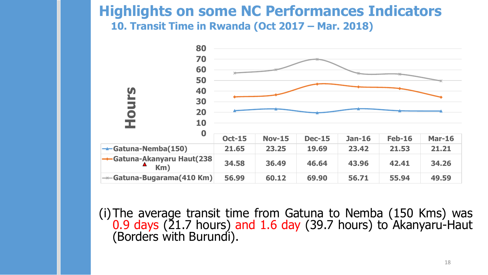### **10. Transit Time in Rwanda (Oct 2017 – Mar. 2018) Highlights on some NC Performances Indicators**



(i)The average transit time from Gatuna to Nemba (150 Kms) was 0.9 days (21.7 hours) and 1.6 day (39.7 hours) to Akanyaru-Haut (Borders with Burundi).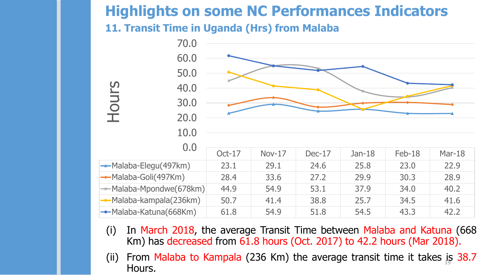# **Highlights on some NC Performances Indicators**

**11. Transit Time in Uganda (Hrs) from Malaba**



- (i) In March 2018, the average Transit Time between Malaba and Katuna (668 Km) has decreased from  $61.8$  hours (Oct. 2017) to 42.2 hours (Mar 2018).
- (ii) From Malaba to Kampala (236 Km) the average transit time it takes is 38.7 Hours.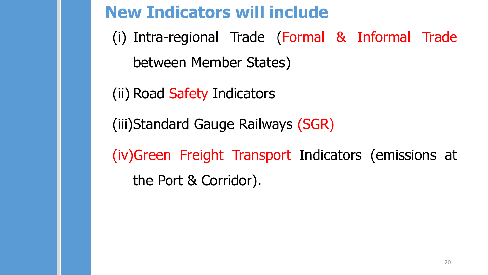# **New Indicators will include**

(i) Intra-regional Trade (Formal & Informal Trade between Member States)

(ii) Road Safety Indicators

(iii)Standard Gauge Railways (SGR)

(iv)Green Freight Transport Indicators (emissions at the Port & Corridor).